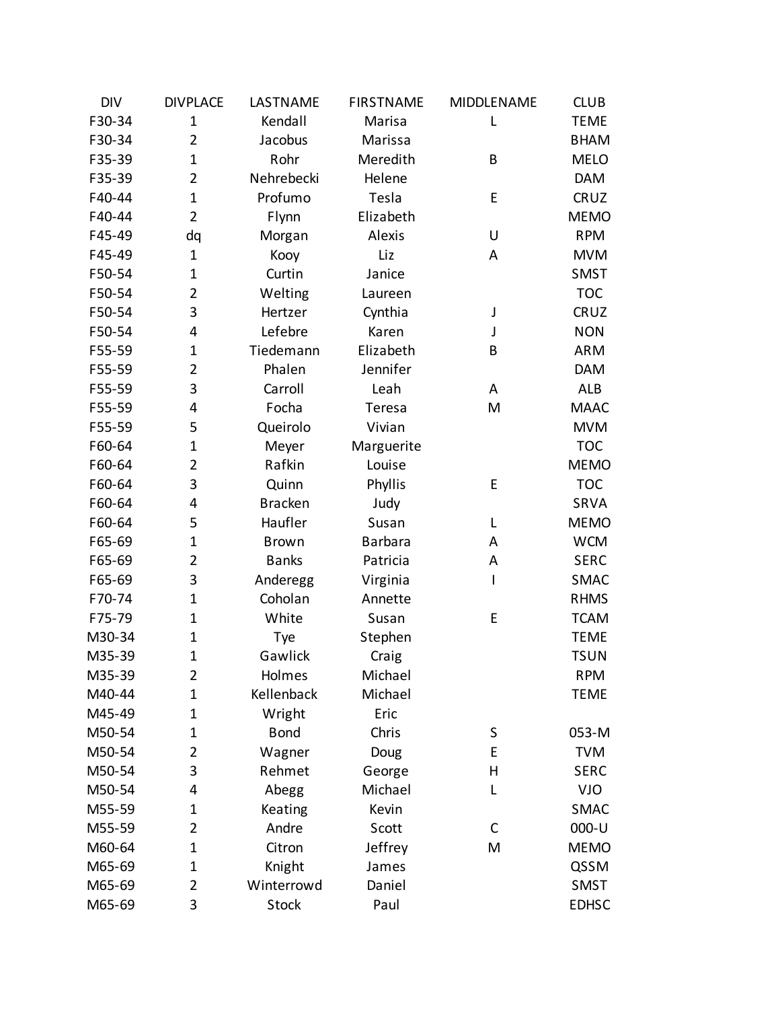| <b>DIV</b> | <b>DIVPLACE</b> | LASTNAME       | <b>FIRSTNAME</b> | MIDDLENAME   | <b>CLUB</b>  |
|------------|-----------------|----------------|------------------|--------------|--------------|
| F30-34     | $\mathbf{1}$    | Kendall        | Marisa           | L            | <b>TEME</b>  |
| F30-34     | $\overline{2}$  | Jacobus        | Marissa          |              | <b>BHAM</b>  |
| F35-39     | $\mathbf 1$     | Rohr           | Meredith         | B            | <b>MELO</b>  |
| F35-39     | $\overline{2}$  | Nehrebecki     | Helene           |              | <b>DAM</b>   |
| F40-44     | $\mathbf 1$     | Profumo        | Tesla            | E            | CRUZ         |
| F40-44     | $\overline{2}$  | Flynn          | Elizabeth        |              | <b>MEMO</b>  |
| F45-49     | dq              | Morgan         | Alexis           | U            | <b>RPM</b>   |
| F45-49     | $\mathbf{1}$    | Kooy           | Liz              | A            | <b>MVM</b>   |
| F50-54     | $\mathbf 1$     | Curtin         | Janice           |              | <b>SMST</b>  |
| F50-54     | $\overline{2}$  | Welting        | Laureen          |              | <b>TOC</b>   |
| F50-54     | 3               | Hertzer        | Cynthia          | J            | CRUZ         |
| F50-54     | 4               | Lefebre        | Karen            | J            | <b>NON</b>   |
| F55-59     | $\mathbf 1$     | Tiedemann      | Elizabeth        | B            | <b>ARM</b>   |
| F55-59     | $\overline{2}$  | Phalen         | Jennifer         |              | <b>DAM</b>   |
| F55-59     | 3               | Carroll        | Leah             | A            | <b>ALB</b>   |
| F55-59     | 4               | Focha          | Teresa           | M            | <b>MAAC</b>  |
| F55-59     | 5               | Queirolo       | Vivian           |              | <b>MVM</b>   |
| F60-64     | $\mathbf{1}$    | Meyer          | Marguerite       |              | <b>TOC</b>   |
| F60-64     | $\overline{2}$  | Rafkin         | Louise           |              | <b>MEMO</b>  |
| F60-64     | 3               | Quinn          | Phyllis          | E            | <b>TOC</b>   |
| F60-64     | 4               | <b>Bracken</b> | Judy             |              | SRVA         |
| F60-64     | 5               | Haufler        | Susan            | L            | <b>MEMO</b>  |
| F65-69     | $\mathbf 1$     | <b>Brown</b>   | <b>Barbara</b>   | A            | <b>WCM</b>   |
| F65-69     | $\overline{2}$  | <b>Banks</b>   | Patricia         | A            | <b>SERC</b>  |
| F65-69     | 3               | Anderegg       | Virginia         | $\mathsf{I}$ | <b>SMAC</b>  |
| F70-74     | $\mathbf 1$     | Coholan        | Annette          |              | <b>RHMS</b>  |
| F75-79     | $\mathbf 1$     | White          | Susan            | E            | <b>TCAM</b>  |
| M30-34     | $\mathbf 1$     | Tye            | Stephen          |              | <b>TEME</b>  |
| M35-39     | $\mathbf{1}$    | Gawlick        | Craig            |              | <b>TSUN</b>  |
| M35-39     | $\overline{2}$  | Holmes         | Michael          |              | <b>RPM</b>   |
| M40-44     | $\mathbf 1$     | Kellenback     | Michael          |              | <b>TEME</b>  |
| M45-49     | $\mathbf 1$     | Wright         | Eric             |              |              |
| M50-54     | $\mathbf 1$     | <b>Bond</b>    | Chris            | S            | 053-M        |
| M50-54     | $\overline{2}$  | Wagner         | Doug             | E            | <b>TVM</b>   |
| M50-54     | 3               | Rehmet         | George           | H            | <b>SERC</b>  |
| M50-54     | 4               | Abegg          | Michael          | L            | <b>VJO</b>   |
| M55-59     | $\mathbf 1$     | Keating        | Kevin            |              | <b>SMAC</b>  |
| M55-59     | 2               | Andre          | Scott            | C            | 000-U        |
| M60-64     | $\mathbf 1$     | Citron         | Jeffrey          | M            | <b>MEMO</b>  |
| M65-69     | $\mathbf 1$     | Knight         | James            |              | QSSM         |
| M65-69     | $\overline{2}$  | Winterrowd     | Daniel           |              | SMST         |
| M65-69     | 3               | <b>Stock</b>   | Paul             |              | <b>EDHSC</b> |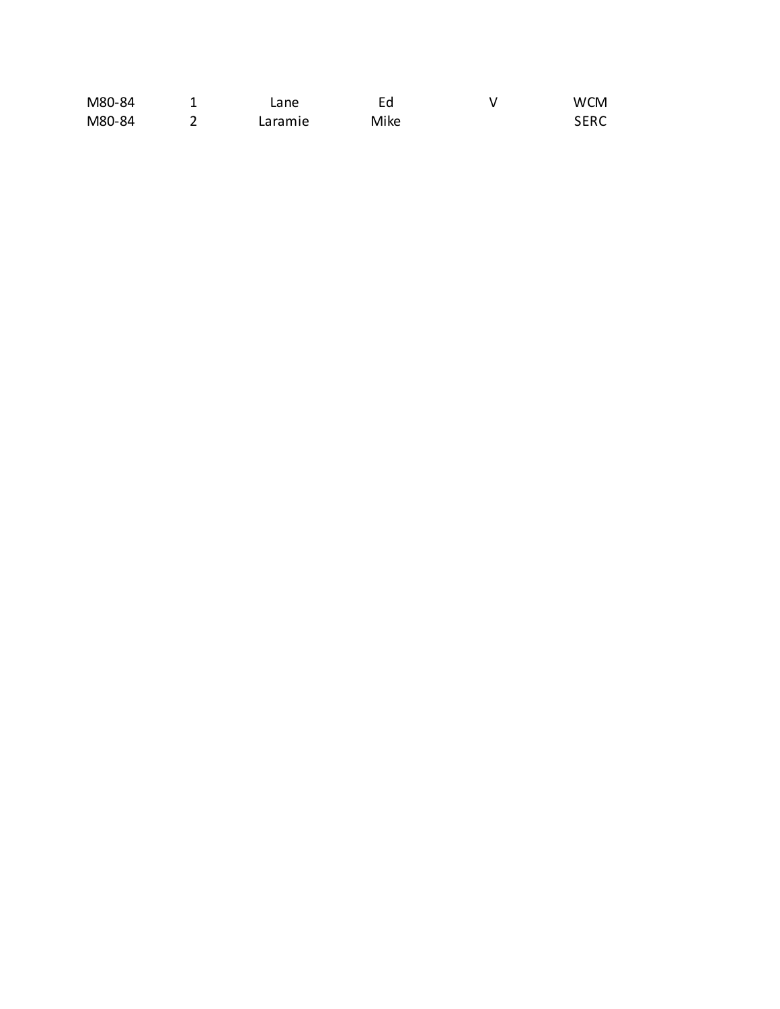| M80-84 | $\mathsf{cane}$ |      | <b>WCM</b>  |
|--------|-----------------|------|-------------|
| M80-84 | Laramie         | Mike | <b>SERC</b> |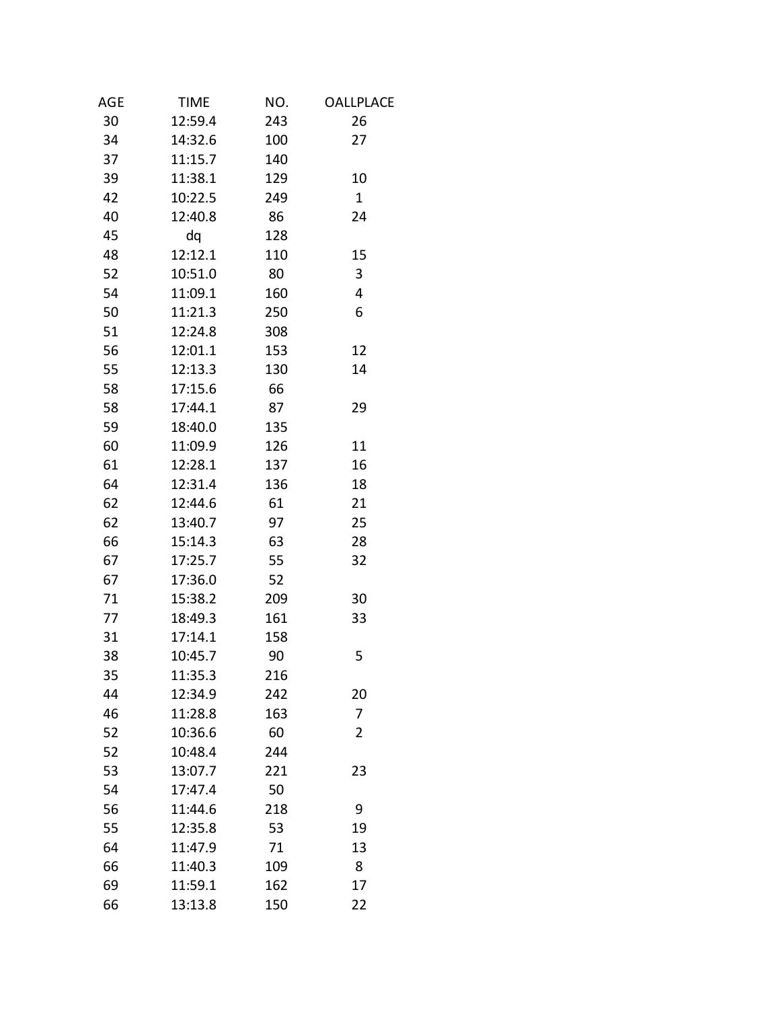| AGE | <b>TIME</b> | NO. | <b>OALLPLACE</b> |
|-----|-------------|-----|------------------|
| 30  | 12:59.4     | 243 | 26               |
| 34  | 14:32.6     | 100 | 27               |
| 37  | 11:15.7     | 140 |                  |
| 39  | 11:38.1     | 129 | 10               |
| 42  | 10:22.5     | 249 | $\mathbf{1}$     |
| 40  | 12:40.8     | 86  | 24               |
| 45  | dq          | 128 |                  |
| 48  | 12:12.1     | 110 | 15               |
| 52  | 10:51.0     | 80  | 3                |
| 54  | 11:09.1     | 160 | 4                |
| 50  | 11:21.3     | 250 | 6                |
| 51  | 12:24.8     | 308 |                  |
| 56  | 12:01.1     | 153 | 12               |
| 55  | 12:13.3     | 130 | 14               |
| 58  | 17:15.6     | 66  |                  |
| 58  | 17:44.1     | 87  | 29               |
| 59  | 18:40.0     | 135 |                  |
| 60  | 11:09.9     | 126 | 11               |
| 61  | 12:28.1     | 137 | 16               |
| 64  | 12:31.4     | 136 | 18               |
| 62  | 12:44.6     | 61  | 21               |
| 62  | 13:40.7     | 97  | 25               |
| 66  | 15:14.3     | 63  | 28               |
| 67  | 17:25.7     | 55  | 32               |
| 67  | 17:36.0     | 52  |                  |
| 71  | 15:38.2     | 209 | 30               |
| 77  | 18:49.3     | 161 | 33               |
| 31  | 17:14.1     | 158 |                  |
| 38  | 10:45.7     | 90  | 5                |
| 35  | 11:35.3     | 216 |                  |
| 44  | 12:34.9     | 242 | 20               |
| 46  | 11:28.8     | 163 | 7                |
| 52  | 10:36.6     | 60  | $\overline{2}$   |
| 52  | 10:48.4     | 244 |                  |
| 53  | 13:07.7     | 221 | 23               |
| 54  | 17:47.4     | 50  |                  |
| 56  | 11:44.6     | 218 | 9                |
| 55  | 12:35.8     | 53  | 19               |
| 64  | 11:47.9     | 71  | 13               |
| 66  | 11:40.3     | 109 | 8                |
| 69  | 11:59.1     | 162 | 17               |
| 66  | 13:13.8     | 150 | 22               |